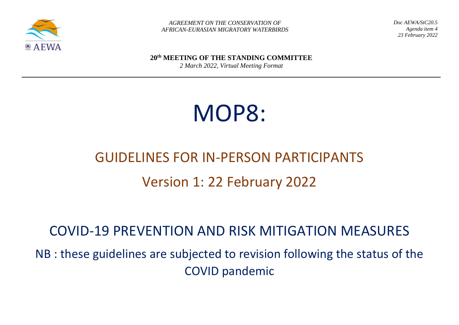

 *AGREEMENT ON THE CONSERVATION OF AFRICAN-EURASIAN MIGRATORY WATERBIRDS* *Doc AEWA/StC20.5 Agenda item 4 23 February 2022*

**20th MEETING OF THE STANDING COMMITTEE**

*2 March 2022, Virtual Meeting Format*

# MOP8:

## GUIDELINES FOR IN-PERSON PARTICIPANTS Version 1: 22 February 2022

## COVID-19 PREVENTION AND RISK MITIGATION MEASURES

NB : these guidelines are subjected to revision following the status of the COVID pandemic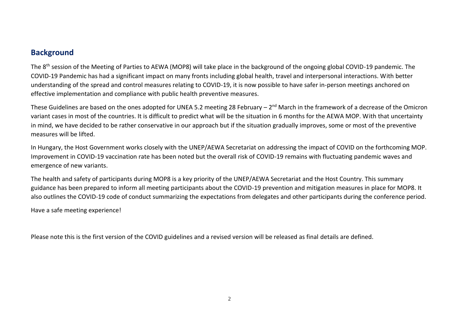#### **Background**

The 8th session of the Meeting of Parties to AEWA (MOP8) will take place in the background of the ongoing global COVID-19 pandemic. The COVID-19 Pandemic has had a significant impact on many fronts including global health, travel and interpersonal interactions. With better understanding of the spread and control measures relating to COVID-19, it is now possible to have safer in-person meetings anchored on effective implementation and compliance with public health preventive measures.

These Guidelines are based on the ones adopted for UNEA 5.2 meeting 28 February – 2<sup>nd</sup> March in the framework of a decrease of the Omicron variant cases in most of the countries. It is difficult to predict what will be the situation in 6 months for the AEWA MOP. With that uncertainty in mind, we have decided to be rather conservative in our approach but if the situation gradually improves, some or most of the preventive measures will be lifted.

In Hungary, the Host Government works closely with the UNEP/AEWA Secretariat on addressing the impact of COVID on the forthcoming MOP. Improvement in COVID-19 vaccination rate has been noted but the overall risk of COVID-19 remains with fluctuating pandemic waves and emergence of new variants.

The health and safety of participants during MOP8 is a key priority of the UNEP/AEWA Secretariat and the Host Country. This summary guidance has been prepared to inform all meeting participants about the COVID-19 prevention and mitigation measures in place for MOP8. It also outlines the COVID-19 code of conduct summarizing the expectations from delegates and other participants during the conference period.

Have a safe meeting experience!

Please note this is the first version of the COVID guidelines and a revised version will be released as final details are defined.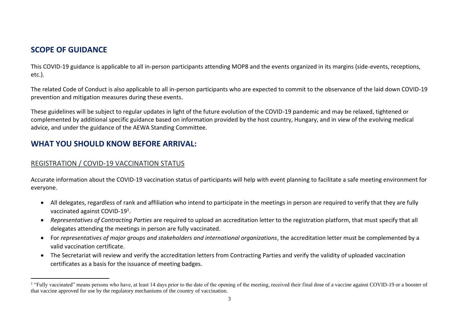### **SCOPE OF GUIDANCE**

This COVID-19 guidance is applicable to all in-person participants attending MOP8 and the events organized in its margins (side-events, receptions, etc.).

The related Code of Conduct is also applicable to all in-person participants who are expected to commit to the observance of the laid down COVID-19 prevention and mitigation measures during these events.

These guidelines will be subject to regular updates in light of the future evolution of the COVID-19 pandemic and may be relaxed, tightened or complemented by additional specific guidance based on information provided by the host country, Hungary, and in view of the evolving medical advice, and under the guidance of the AEWA Standing Committee.

#### **WHAT YOU SHOULD KNOW BEFORE ARRIVAL:**

#### REGISTRATION / COVID-19 VACCINATION STATUS

Accurate information about the COVID-19 vaccination status of participants will help with event planning to facilitate a safe meeting environment for everyone.

- All delegates, regardless of rank and affiliation who intend to participate in the meetings in person are required to verify that they are fully vaccinated against COVID-19<sup>1</sup>.
- *Representatives of Contracting Parties* are required to upload an accreditation letter to the registration platform, that must specify that all delegates attending the meetings in person are fully vaccinated.
- For *representatives of major groups and stakeholders and international organizations*, the accreditation letter must be complemented by a valid vaccination certificate.
- The Secretariat will review and verify the accreditation letters from Contracting Parties and verify the validity of uploaded vaccination certificates as a basis for the issuance of meeting badges.

<sup>&</sup>lt;sup>1</sup> "Fully vaccinated" means persons who have, at least 14 days prior to the date of the opening of the meeting, received their final dose of a vaccine against COVID-19 or a booster of that vaccine approved for use by the regulatory mechanisms of the country of vaccination.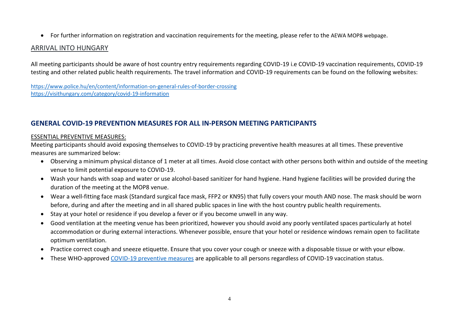• For further information on registration and vaccination requirements for the meeting, please refer to the AEWA MOP8 webpage.

#### ARRIVAL INTO HUNGARY

All meeting participants should be aware of host country entry requirements regarding COVID-19 i.e COVID-19 vaccination requirements, COVID-19 testing and other related public health requirements. The travel information and COVID-19 requirements can be found on the following websites:

<https://www.police.hu/en/content/information-on-general-rules-of-border-crossing> <https://visithungary.com/category/covid-19-information>

#### **GENERAL COVID-19 PREVENTION MEASURES FOR ALL IN-PERSON MEETING PARTICIPANTS**

#### ESSENTIAL PREVENTIVE MEASURES:

Meeting participants should avoid exposing themselves to COVID-19 by practicing preventive health measures at all times. These preventive measures are summarized below:

- Observing a minimum physical distance of 1 meter at all times. Avoid close contact with other persons both within and outside of the meeting venue to limit potential exposure to COVID-19.
- Wash your hands with soap and water or use alcohol-based sanitizer for hand hygiene. Hand hygiene facilities will be provided during the duration of the meeting at the MOP8 venue.
- Wear a well-fitting face mask (Standard surgical face mask, FFP2 or KN95) that fully covers your mouth AND nose. The mask should be worn before, during and after the meeting and in all shared public spaces in line with the host country public health requirements.
- Stay at your hotel or residence if you develop a fever or if you become unwell in any way.
- Good ventilation at the meeting venue has been prioritized, however you should avoid any poorly ventilated spaces particularly at hotel accommodation or during external interactions. Whenever possible, ensure that your hotel or residence windows remain open to facilitate optimum ventilation.
- Practice correct cough and sneeze etiquette. Ensure that you cover your cough or sneeze with a disposable tissue or with your elbow.
- These WHO-approved [COVID-19 preventive measures](https://www.who.int/westernpacific/emergencies/covid-19/information/transmission-protective-measures) are applicable to all persons regardless of COVID-19 vaccination status.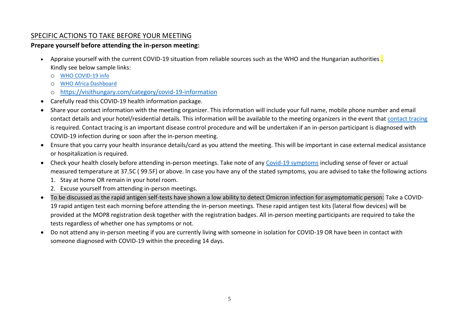#### SPECIFIC ACTIONS TO TAKE BEFORE YOUR MEETING

#### **Prepare yourself before attending the in-person meeting:**

- Appraise yourself with the current COVID-19 situation from reliable sources such as the WHO and the Hungarian authorities . Kindly see below sample links:
	- o [WHO COVID-19 info](https://www.who.int/emergencies/diseases/novel-coronavirus-2019/advice-for-public)
	- o [WHO Africa Dashboard](https://who.maps.arcgis.com/apps/dashboards/0c9b3a8b68d0437a8cf28581e9c063a9)
	- o <https://visithungary.com/category/covid-19-information>
- Carefully read this COVID-19 health information package.
- Share your contact information with the meeting organizer. This information will include your full name, mobile phone number and email contact details and your hotel/residential details. This information will be available to the meeting organizers in the event that [contact tracing](https://www.youtube.com/watch?app=desktop&v=uaclvunMMcM) is required. Contact tracing is an important disease control procedure and will be undertaken if an in-person participant is diagnosed with COVID-19 infection during or soon after the in-person meeting.
- Ensure that you carry your health insurance details/card as you attend the meeting. This will be important in case external medical assistance or hospitalization is required.
- Check your health closely before attending in-person meetings. Take note of any [Covid-19 symptoms](https://www.who.int/images/default-source/searo---images/countries/indonesia/infographics/covid19_symptoms.jpg?sfvrsn=b599a602_5) including sense of fever or actual measured temperature at 37.5C ( 99.5F) or above. In case you have any of the stated symptoms, you are advised to take the following actions
	- 1. Stay at home OR remain in your hotel room.
	- 2. Excuse yourself from attending in-person meetings.
- To be discussed as the rapid antigen self-tests have shown a low ability to detect Omicron infection for asymptomatic person: Take a COVID-19 rapid antigen test each morning before attending the in-person meetings. These rapid antigen test kits (lateral flow devices) will be provided at the MOP8 registration desk together with the registration badges. All in-person meeting participants are required to take the tests regardless of whether one has symptoms or not.
- Do not attend any in-person meeting if you are currently living with someone in isolation for COVID-19 OR have been in contact with someone diagnosed with COVID-19 within the preceding 14 days.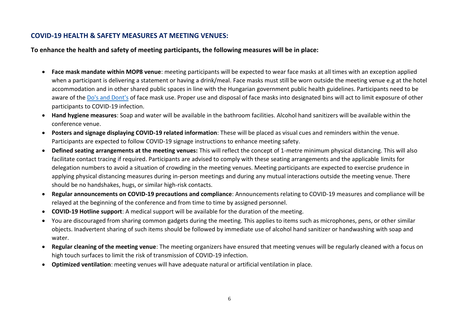#### **COVID-19 HEALTH & SAFETY MEASURES AT MEETING VENUES:**

**To enhance the health and safety of meeting participants, the following measures will be in place:** 

- **Face mask mandate within MOP8 venue**: meeting participants will be expected to wear face masks at all times with an exception applied when a participant is delivering a statement or having a drink/meal. Face masks must still be worn outside the meeting venue e.g at the hotel accommodation and in other shared public spaces in line with the Hungarian government public health guidelines. Participants need to be aware of the [Do's and Dont's](https://www.who.int/images/default-source/health-topics/coronavirus/masks-infographic---final-(a4---web---rgb).png?sfvrsn=cb3153cf_13) of face mask use. Proper use and disposal of face masks into designated bins will act to limit exposure of other participants to COVID-19 infection.
- **Hand hygiene measures**: Soap and water will be available in the bathroom facilities. Alcohol hand sanitizers will be available within the conference venue.
- **Posters and signage displaying COVID-19 related information**: These will be placed as visual cues and reminders within the venue. Participants are expected to follow COVID-19 signage instructions to enhance meeting safety.
- **Defined seating arrangements at the meeting venues:** This will reflect the concept of 1-metre minimum physical distancing. This will also facilitate contact tracing if required. Participants are advised to comply with these seating arrangements and the applicable limits for delegation numbers to avoid a situation of crowding in the meeting venues. Meeting participants are expected to exercise prudence in applying physical distancing measures during in-person meetings and during any mutual interactions outside the meeting venue. There should be no handshakes, hugs, or similar high-risk contacts.
- **Regular announcements on COVID-19 precautions and compliance**: Announcements relating to COVID-19 measures and compliance will be relayed at the beginning of the conference and from time to time by assigned personnel.
- **COVID-19 Hotline support**: A medical support will be available for the duration of the meeting.
- You are discouraged from sharing common gadgets during the meeting. This applies to items such as microphones, pens, or other similar objects. Inadvertent sharing of such items should be followed by immediate use of alcohol hand sanitizer or handwashing with soap and water.
- **Regular cleaning of the meeting venue**: The meeting organizers have ensured that meeting venues will be regularly cleaned with a focus on high touch surfaces to limit the risk of transmission of COVID-19 infection.
- **Optimized ventilation**: meeting venues will have adequate natural or artificial ventilation in place.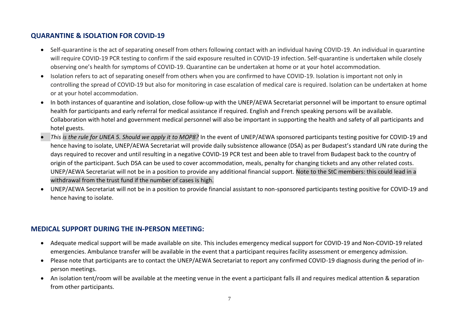#### **QUARANTINE & ISOLATION FOR COVID-19**

- Self-quarantine is the act of separating oneself from others following contact with an individual having COVID-19. An individual in quarantine will require COVID-19 PCR testing to confirm if the said exposure resulted in COVID-19 infection. Self-quarantine is undertaken while closely observing one's health for symptoms of COVID-19. Quarantine can be undertaken at home or at your hotel accommodation.
- Isolation refers to act of separating oneself from others when you are confirmed to have COVID-19. Isolation is important not only in controlling the spread of COVID-19 but also for monitoring in case escalation of medical care is required. Isolation can be undertaken at home or at your hotel accommodation.
- In both instances of quarantine and isolation, close follow-up with the UNEP/AEWA Secretariat personnel will be important to ensure optimal health for participants and early referral for medical assistance if required. English and French speaking persons will be available. Collaboration with hotel and government medical personnel will also be important in supporting the health and safety of all participants and hotel guests.
- *This is the rule for UNEA 5. Should we apply it to MOP8?* In the event of UNEP/AEWA sponsored participants testing positive for COVID-19 and hence having to isolate, UNEP/AEWA Secretariat will provide daily subsistence allowance (DSA) as per Budapest's standard UN rate during the days required to recover and until resulting in a negative COVID-19 PCR test and been able to travel from Budapest back to the country of origin of the participant. Such DSA can be used to cover accommodation, meals, penalty for changing tickets and any other related costs. UNEP/AEWA Secretariat will not be in a position to provide any additional financial support. Note to the StC members: this could lead in a withdrawal from the trust fund if the number of cases is high.
- UNEP/AEWA Secretariat will not be in a position to provide financial assistant to non-sponsored participants testing positive for COVID-19 and hence having to isolate.

#### **MEDICAL SUPPORT DURING THE IN-PERSON MEETING:**

- Adequate medical support will be made available on site. This includes emergency medical support for COVID-19 and Non-COVID-19 related emergencies. Ambulance transfer will be available in the event that a participant requires facility assessment or emergency admission.
- Please note that participants are to contact the UNEP/AEWA Secretariat to report any confirmed COVID-19 diagnosis during the period of inperson meetings.
- An isolation tent/room will be available at the meeting venue in the event a participant falls ill and requires medical attention & separation from other participants.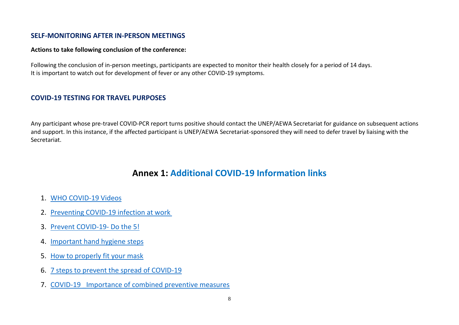#### **SELF-MONITORING AFTER IN-PERSON MEETINGS**

#### **Actions to take following conclusion of the conference:**

Following the conclusion of in-person meetings, participants are expected to monitor their health closely for a period of 14 days. It is important to watch out for development of fever or any other COVID-19 symptoms.

#### **COVID-19 TESTING FOR TRAVEL PURPOSES**

Any participant whose pre-travel COVID-PCR report turns positive should contact the UNEP/AEWA Secretariat for guidance on subsequent actions and support. In this instance, if the affected participant is UNEP/AEWA Secretariat-sponsored they will need to defer travel by liaising with the Secretariat.

### **Annex 1: Additional COVID-19 Information links**

- 1. [WHO COVID-19 Videos](https://www.who.int/emergencies/diseases/novel-coronavirus-2019/advice-for-public/videos)
- 2. [Preventing COVID-19 infection at work](https://www.youtube.com/watch?v=8dlUqlMDkR4)
- 3. [Prevent COVID-19-](https://www.afro.who.int/sites/default/files/Covid-19/Social%20media/WHO%20Africa%20Gif3%20V2_1%20(3).mp4) Do the 5!
- 4. [Important hand hygiene steps](https://www.youtube.com/watch?app=desktop&v=GEIYCvcOHLw&t=32s)
- 5. [How to properly fit your mask](https://www.youtube.com/watch?v=YPd-XrDhzrQ&t=23s)
- 6. [7 steps to prevent the spread of COVID-19](https://www.youtube.com/watch?v=8c_UJwLq8PI&list=PL9S6xGsoqIBU2V6AZYGlJwZRAFJ3YDreb&index=22)
- 7. COVID-19 Importance of combined preventive measures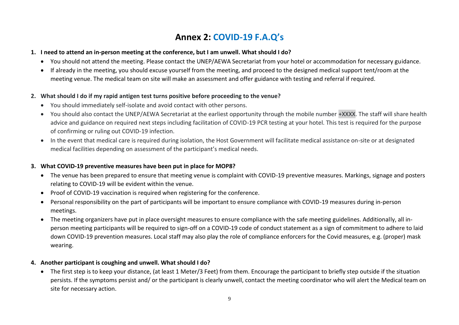## **Annex 2: COVID-19 F.A.Q's**

#### **1. I need to attend an in-person meeting at the conference, but I am unwell. What should I do?**

- You should not attend the meeting. Please contact the UNEP/AEWA Secretariat from your hotel or accommodation for necessary guidance.
- If already in the meeting, you should excuse yourself from the meeting, and proceed to the designed medical support tent/room at the meeting venue. The medical team on site will make an assessment and offer guidance with testing and referral if required.

#### **2. What should I do if my rapid antigen test turns positive before proceeding to the venue?**

- You should immediately self-isolate and avoid contact with other persons.
- You should also contact the UNEP/AEWA Secretariat at the earliest opportunity through the mobile number +XXXX. The staff will share health advice and guidance on required next steps including facilitation of COVID-19 PCR testing at your hotel. This test is required for the purpose of confirming or ruling out COVID-19 infection.
- In the event that medical care is required during isolation, the Host Government will facilitate medical assistance on-site or at designated medical facilities depending on assessment of the participant's medical needs.

#### **3. What COVID-19 preventive measures have been put in place for MOP8?**

- The venue has been prepared to ensure that meeting venue is complaint with COVID-19 preventive measures. Markings, signage and posters relating to COVID-19 will be evident within the venue.
- Proof of COVID-19 vaccination is required when registering for the conference.
- Personal responsibility on the part of participants will be important to ensure compliance with COVID-19 measures during in-person meetings.
- The meeting organizers have put in place oversight measures to ensure compliance with the safe meeting guidelines. Additionally, all inperson meeting participants will be required to sign-off on a COVID-19 code of conduct statement as a sign of commitment to adhere to laid down COVID-19 prevention measures. Local staff may also play the role of compliance enforcers for the Covid measures, e.g. (proper) mask wearing.

#### **4. Another participant is coughing and unwell. What should I do?**

• The first step is to keep your distance, (at least 1 Meter/3 Feet) from them. Encourage the participant to briefly step outside if the situation persists. If the symptoms persist and/ or the participant is clearly unwell, contact the meeting coordinator who will alert the Medical team on site for necessary action.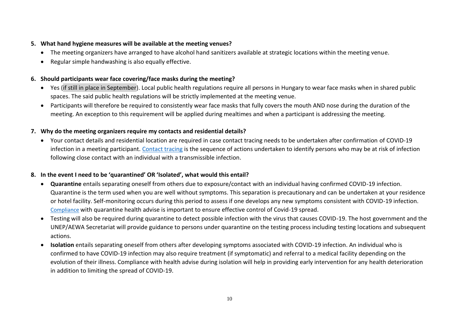#### **5. What hand hygiene measures will be available at the meeting venues?**

- The meeting organizers have arranged to have alcohol hand sanitizers available at strategic locations within the meeting venue.
- Regular simple handwashing is also equally effective.

#### **6. Should participants wear face covering/face masks during the meeting?**

- Yes (if still in place in September). Local public health regulations require all persons in Hungary to wear face masks when in shared public spaces. The said public health regulations will be strictly implemented at the meeting venue.
- Participants will therefore be required to consistently wear face masks that fully covers the mouth AND nose during the duration of the meeting. An exception to this requirement will be applied during mealtimes and when a participant is addressing the meeting.

#### **7. Why do the meeting organizers require my contacts and residential details?**

• Your contact details and residential location are required in case contact tracing needs to be undertaken after confirmation of COVID-19 infection in a meeting participant[. Contact tracing](https://www.youtube.com/watch?app=desktop&v=uaclvunMMcM) is the sequence of actions undertaken to identify persons who may be at risk of infection following close contact with an individual with a transmissible infection.

#### **8. In the event I need to be 'quarantined' OR 'Isolated', what would this entail?**

- **Quarantine** entails separating oneself from others due to exposure/contact with an individual having confirmed COVID-19 infection. Quarantine is the term used when you are well without symptoms. This separation is precautionary and can be undertaken at your residence or hotel facility. Self-monitoring occurs during this period to assess if one develops any new symptoms consistent with COVID-19 infection. [Compliance](https://www.who.int/images/default-source/searo---images/countries/indonesia/covid19/self-monitoring-quarantine-2.png?sfvrsn=ab5ccc89_2) with quarantine health advise is important to ensure effective control of Covid-19 spread.
- Testing will also be required during quarantine to detect possible infection with the virus that causes COVID-19. The host government and the UNEP/AEWA Secretariat will provide guidance to persons under quarantine on the testing process including testing locations and subsequent actions.
- **Isolation** entails separating oneself from others after developing symptoms associated with COVID-19 infection. An individual who is confirmed to have COVID-19 infection may also require treatment (if symptomatic) and referral to a medical facility depending on the evolution of their illness. Compliance with health advise during isolation will help in providing early intervention for any health deterioration in addition to limiting the spread of COVID-19.